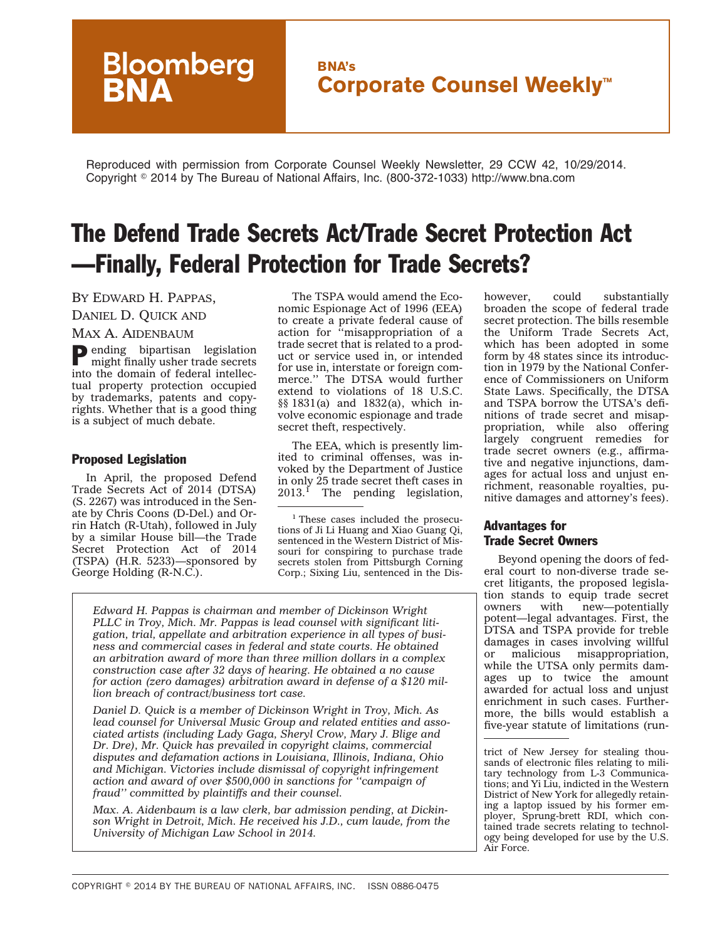# **BNA's Corporate Counsel Weekly™**

Reproduced with permission from Corporate Counsel Weekly Newsletter, 29 CCW 42, 10/29/2014. Copyright - 2014 by The Bureau of National Affairs, Inc. (800-372-1033) http://www.bna.com

# The Defend Trade Secrets Act/Trade Secret Protection Act —Finally, Federal Protection for Trade Secrets?

## BY EDWARD H. PAPPAS,

DANIEL D. QUICK AND

#### MAX A. AIDENBAUM

Pending bipartisan legislation might finally usher trade secrets into the domain of federal intellectual property protection occupied by trademarks, patents and copyrights. Whether that is a good thing is a subject of much debate.

**Bloomberg**<br>**BNA** 

#### Proposed Legislation

In April, the proposed Defend Trade Secrets Act of 2014 (DTSA) (S. 2267) was introduced in the Senate by Chris Coons (D-Del.) and Orrin Hatch (R-Utah), followed in July by a similar House bill—the Trade Secret Protection Act of 2014 (TSPA) (H.R. 5233)—sponsored by George Holding (R-N.C.).

The TSPA would amend the Economic Espionage Act of 1996 (EEA) to create a private federal cause of action for ''misappropriation of a trade secret that is related to a product or service used in, or intended for use in, interstate or foreign commerce.'' The DTSA would further extend to violations of 18 U.S.C. §§ 1831(a) and 1832(a), which involve economic espionage and trade secret theft, respectively.

The EEA, which is presently limited to criminal offenses, was invoked by the Department of Justice in only 25 trade secret theft cases in  $2013.<sup>1</sup>$  The pending legislation,

<sup>1</sup> These cases included the prosecutions of Ji Li Huang and Xiao Guang Qi, sentenced in the Western District of Missouri for conspiring to purchase trade secrets stolen from Pittsburgh Corning Corp.; Sixing Liu, sentenced in the Dis-

*Edward H. Pappas is chairman and member of Dickinson Wright PLLC in Troy, Mich. Mr. Pappas is lead counsel with significant litigation, trial, appellate and arbitration experience in all types of business and commercial cases in federal and state courts. He obtained an arbitration award of more than three million dollars in a complex construction case after 32 days of hearing. He obtained a no cause for action (zero damages) arbitration award in defense of a \$120 million breach of contract/business tort case.*

*Daniel D. Quick is a member of Dickinson Wright in Troy, Mich. As lead counsel for Universal Music Group and related entities and associated artists (including Lady Gaga, Sheryl Crow, Mary J. Blige and Dr. Dre), Mr. Quick has prevailed in copyright claims, commercial disputes and defamation actions in Louisiana, Illinois, Indiana, Ohio and Michigan. Victories include dismissal of copyright infringement action and award of over \$500,000 in sanctions for ''campaign of fraud'' committed by plaintiffs and their counsel.*

*Max. A. Aidenbaum is a law clerk, bar admission pending, at Dickinson Wright in Detroit, Mich. He received his J.D., cum laude, from the University of Michigan Law School in 2014.*

however, could substantially broaden the scope of federal trade secret protection. The bills resemble the Uniform Trade Secrets Act, which has been adopted in some form by 48 states since its introduction in 1979 by the National Conference of Commissioners on Uniform State Laws. Specifically, the DTSA and TSPA borrow the UTSA's definitions of trade secret and misappropriation, while also offering largely congruent remedies for trade secret owners (e.g., affirmative and negative injunctions, damages for actual loss and unjust enrichment, reasonable royalties, punitive damages and attorney's fees).

# Advantages for Trade Secret Owners

Beyond opening the doors of federal court to non-diverse trade secret litigants, the proposed legislation stands to equip trade secret owners with new—potentially potent—legal advantages. First, the DTSA and TSPA provide for treble damages in cases involving willful or malicious misappropriation, while the UTSA only permits damages up to twice the amount awarded for actual loss and unjust enrichment in such cases. Furthermore, the bills would establish a five-year statute of limitations (run-

trict of New Jersey for stealing thousands of electronic files relating to military technology from L-3 Communications; and Yi Liu, indicted in the Western District of New York for allegedly retaining a laptop issued by his former employer, Sprung-brett RDI, which contained trade secrets relating to technology being developed for use by the U.S. Air Force.